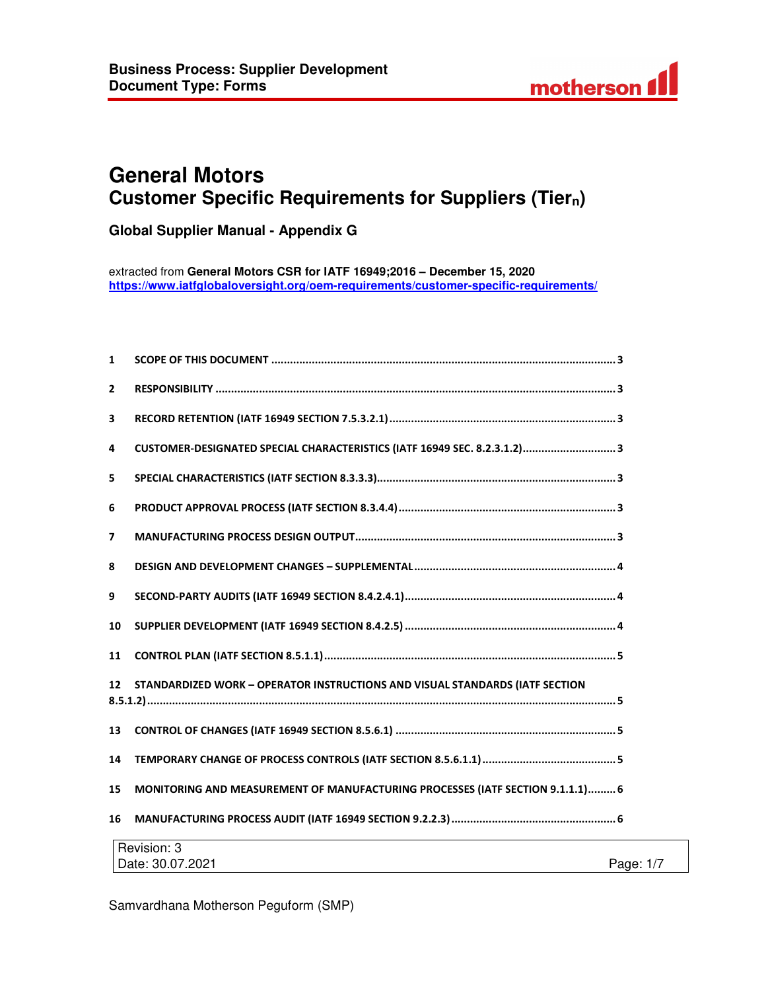

# **General Motors Customer Specific Requirements for Suppliers (Tiern)**

**Global Supplier Manual - Appendix G** 

extracted from **General Motors CSR for IATF 16949;2016 – December 15, 2020 https://www.iatfglobaloversight.org/oem-requirements/customer-specific-requirements/**

| $\mathbf{1}$   |                                                                                |  |
|----------------|--------------------------------------------------------------------------------|--|
| $\overline{2}$ |                                                                                |  |
| 3              |                                                                                |  |
| 4              | CUSTOMER-DESIGNATED SPECIAL CHARACTERISTICS (IATF 16949 SEC. 8.2.3.1.2) 3      |  |
| 5              |                                                                                |  |
| 6              |                                                                                |  |
| $\overline{7}$ |                                                                                |  |
| 8              |                                                                                |  |
| 9              |                                                                                |  |
| 10             |                                                                                |  |
| 11             |                                                                                |  |
| 12             | STANDARDIZED WORK - OPERATOR INSTRUCTIONS AND VISUAL STANDARDS (IATF SECTION   |  |
| 13             |                                                                                |  |
| 14             |                                                                                |  |
| 15             | MONITORING AND MEASUREMENT OF MANUFACTURING PROCESSES (IATF SECTION 9.1.1.1) 6 |  |
| 16             |                                                                                |  |
|                | Revision: 3                                                                    |  |
|                | Page: 1/7<br>Date: 30.07.2021                                                  |  |

Samvardhana Motherson Peguform (SMP)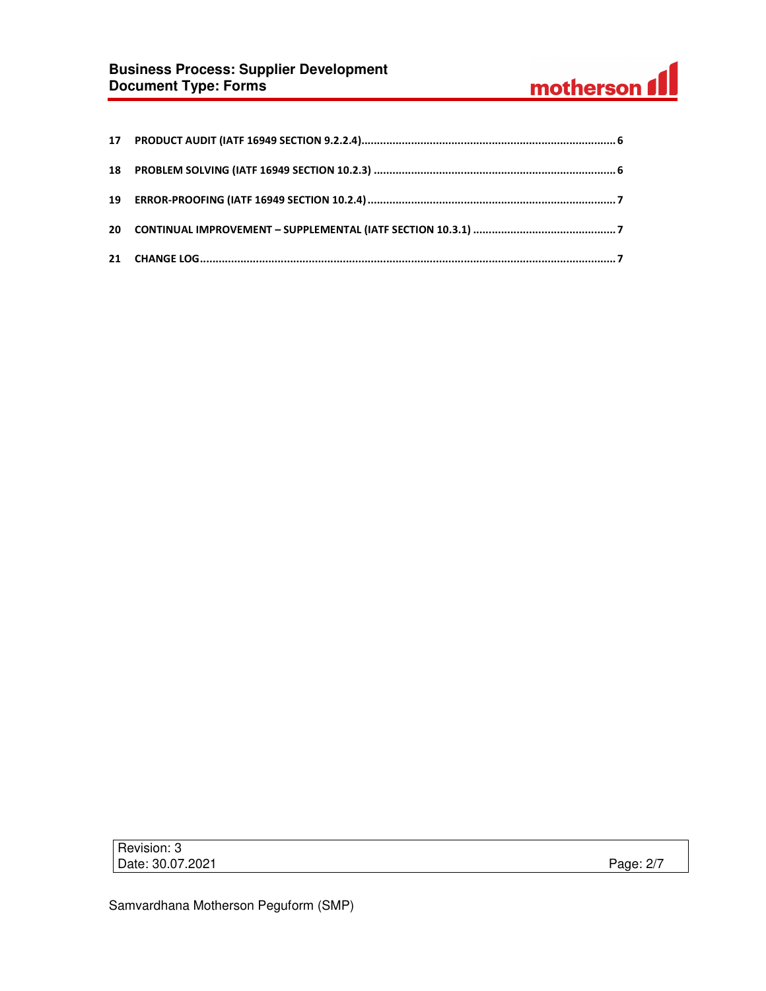# **Business Process: Supplier Development Document Type: Forms**



Revision: 3 Date: 30.07.2021 Page: 2/7

Samvardhana Motherson Peguform (SMP)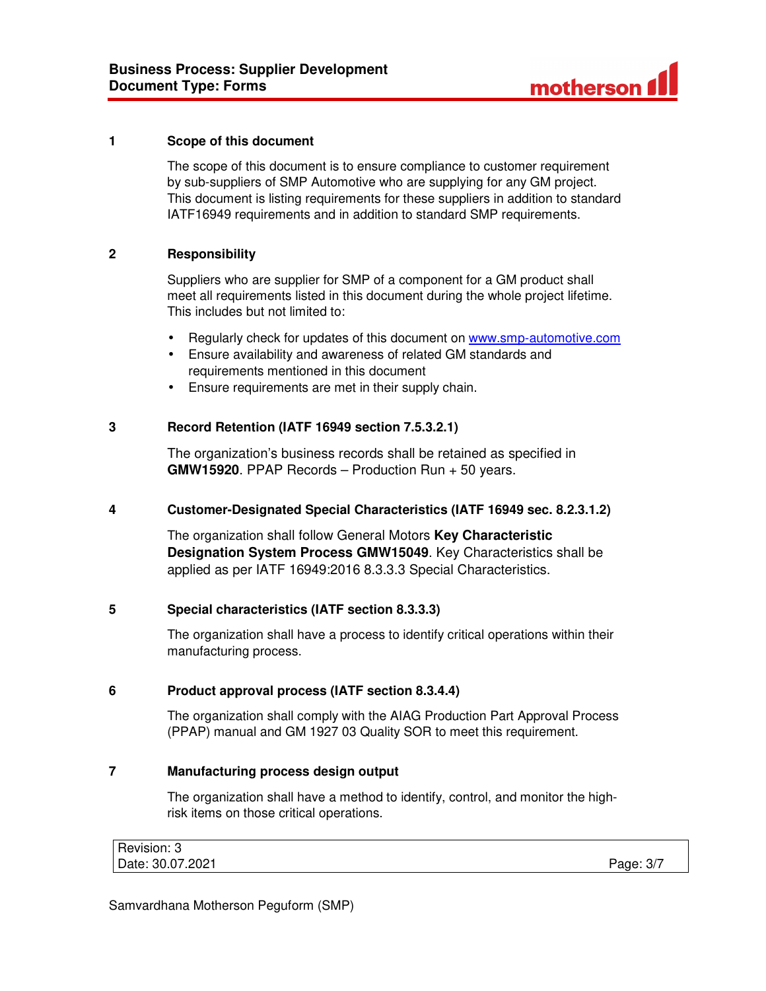

#### **1 Scope of this document**

The scope of this document is to ensure compliance to customer requirement by sub-suppliers of SMP Automotive who are supplying for any GM project. This document is listing requirements for these suppliers in addition to standard IATF16949 requirements and in addition to standard SMP requirements.

## **2 Responsibility**

Suppliers who are supplier for SMP of a component for a GM product shall meet all requirements listed in this document during the whole project lifetime. This includes but not limited to:

- Regularly check for updates of this document on www.smp-automotive.com
- Ensure availability and awareness of related GM standards and requirements mentioned in this document
- Ensure requirements are met in their supply chain.

#### **3 Record Retention (IATF 16949 section 7.5.3.2.1)**

The organization's business records shall be retained as specified in **GMW15920**. PPAP Records – Production Run + 50 years.

#### **4 Customer-Designated Special Characteristics (IATF 16949 sec. 8.2.3.1.2)**

The organization shall follow General Motors **Key Characteristic Designation System Process GMW15049**. Key Characteristics shall be applied as per IATF 16949:2016 8.3.3.3 Special Characteristics.

#### **5 Special characteristics (IATF section 8.3.3.3)**

The organization shall have a process to identify critical operations within their manufacturing process.

#### **6 Product approval process (IATF section 8.3.4.4)**

The organization shall comply with the AIAG Production Part Approval Process (PPAP) manual and GM 1927 03 Quality SOR to meet this requirement.

## **7 Manufacturing process design output**

The organization shall have a method to identify, control, and monitor the highrisk items on those critical operations.

| Revision: 3      |           |
|------------------|-----------|
| Date: 30.07.2021 | Page: 3/7 |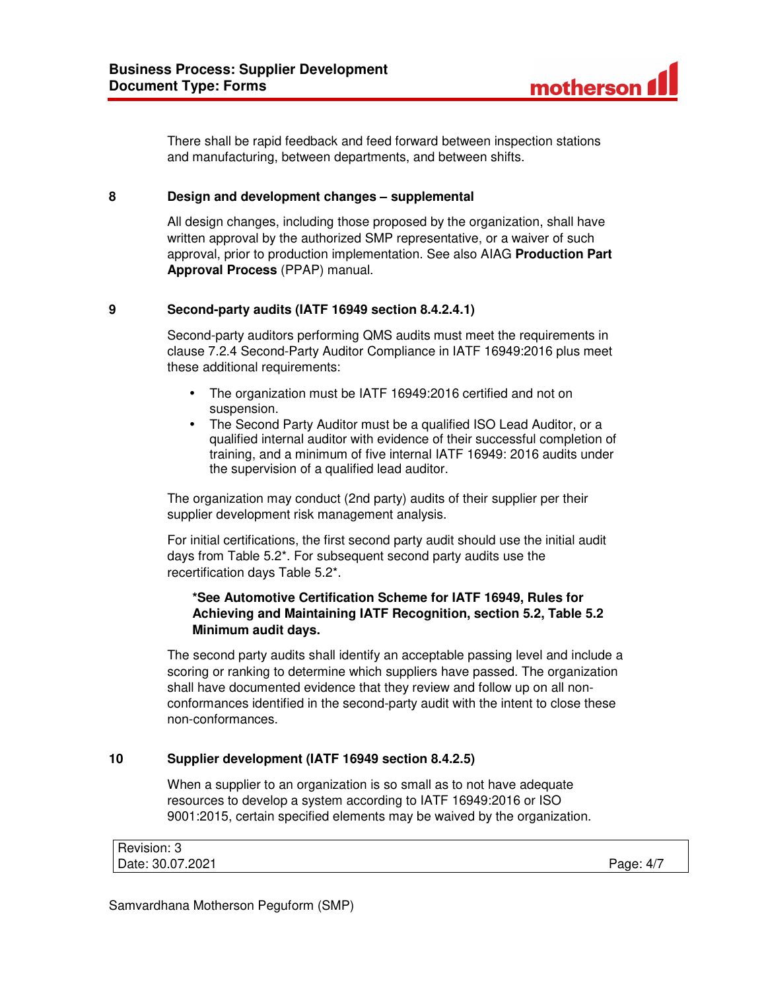

There shall be rapid feedback and feed forward between inspection stations and manufacturing, between departments, and between shifts.

#### **8 Design and development changes – supplemental**

All design changes, including those proposed by the organization, shall have written approval by the authorized SMP representative, or a waiver of such approval, prior to production implementation. See also AIAG **Production Part Approval Process** (PPAP) manual.

#### **9 Second-party audits (IATF 16949 section 8.4.2.4.1)**

Second-party auditors performing QMS audits must meet the requirements in clause 7.2.4 Second-Party Auditor Compliance in IATF 16949:2016 plus meet these additional requirements:

- The organization must be IATF 16949:2016 certified and not on suspension.
- The Second Party Auditor must be a qualified ISO Lead Auditor, or a qualified internal auditor with evidence of their successful completion of training, and a minimum of five internal IATF 16949: 2016 audits under the supervision of a qualified lead auditor.

The organization may conduct (2nd party) audits of their supplier per their supplier development risk management analysis.

For initial certifications, the first second party audit should use the initial audit days from Table 5.2\*. For subsequent second party audits use the recertification days Table 5.2\*.

#### **\*See Automotive Certification Scheme for IATF 16949, Rules for Achieving and Maintaining IATF Recognition, section 5.2, Table 5.2 Minimum audit days.**

The second party audits shall identify an acceptable passing level and include a scoring or ranking to determine which suppliers have passed. The organization shall have documented evidence that they review and follow up on all nonconformances identified in the second-party audit with the intent to close these non-conformances.

#### **10 Supplier development (IATF 16949 section 8.4.2.5)**

When a supplier to an organization is so small as to not have adequate resources to develop a system according to IATF 16949:2016 or ISO 9001:2015, certain specified elements may be waived by the organization.

| Revision: 3      |           |
|------------------|-----------|
| Date: 30.07.2021 | Page: 4/7 |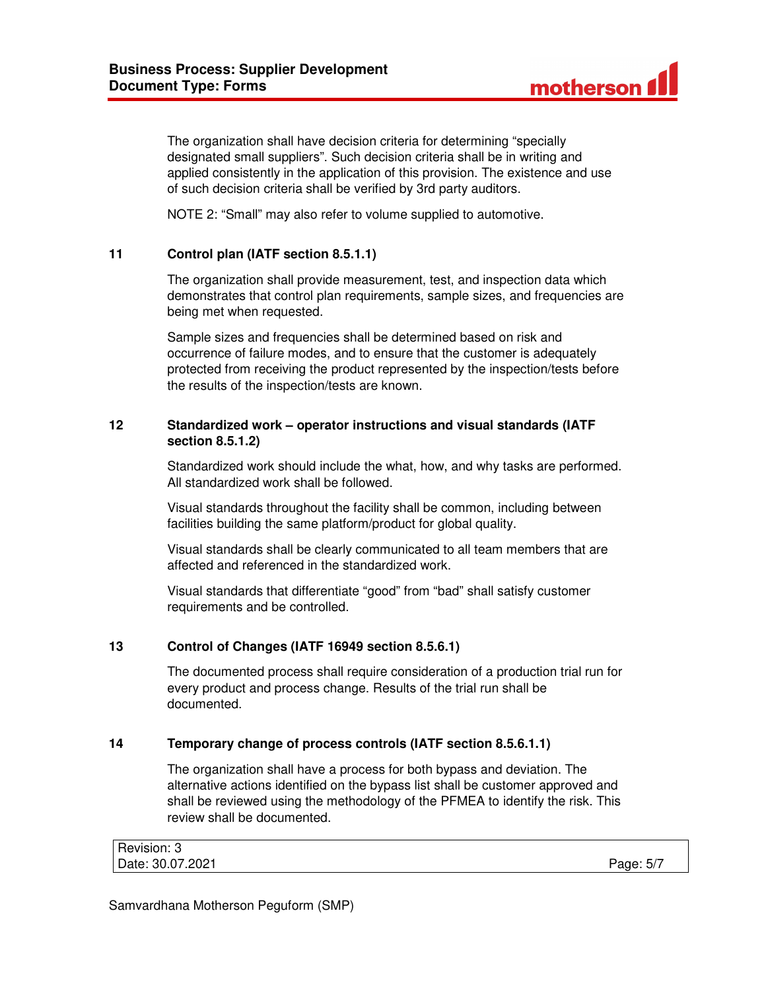

The organization shall have decision criteria for determining "specially designated small suppliers". Such decision criteria shall be in writing and applied consistently in the application of this provision. The existence and use of such decision criteria shall be verified by 3rd party auditors.

NOTE 2: "Small" may also refer to volume supplied to automotive.

## **11 Control plan (IATF section 8.5.1.1)**

The organization shall provide measurement, test, and inspection data which demonstrates that control plan requirements, sample sizes, and frequencies are being met when requested.

Sample sizes and frequencies shall be determined based on risk and occurrence of failure modes, and to ensure that the customer is adequately protected from receiving the product represented by the inspection/tests before the results of the inspection/tests are known.

# **12 Standardized work – operator instructions and visual standards (IATF section 8.5.1.2)**

Standardized work should include the what, how, and why tasks are performed. All standardized work shall be followed.

Visual standards throughout the facility shall be common, including between facilities building the same platform/product for global quality.

Visual standards shall be clearly communicated to all team members that are affected and referenced in the standardized work.

Visual standards that differentiate "good" from "bad" shall satisfy customer requirements and be controlled.

## **13 Control of Changes (IATF 16949 section 8.5.6.1)**

The documented process shall require consideration of a production trial run for every product and process change. Results of the trial run shall be documented.

#### **14 Temporary change of process controls (IATF section 8.5.6.1.1)**

The organization shall have a process for both bypass and deviation. The alternative actions identified on the bypass list shall be customer approved and shall be reviewed using the methodology of the PFMEA to identify the risk. This review shall be documented.

| Revision: 3      |           |
|------------------|-----------|
| Date: 30.07.2021 | Page: 5/7 |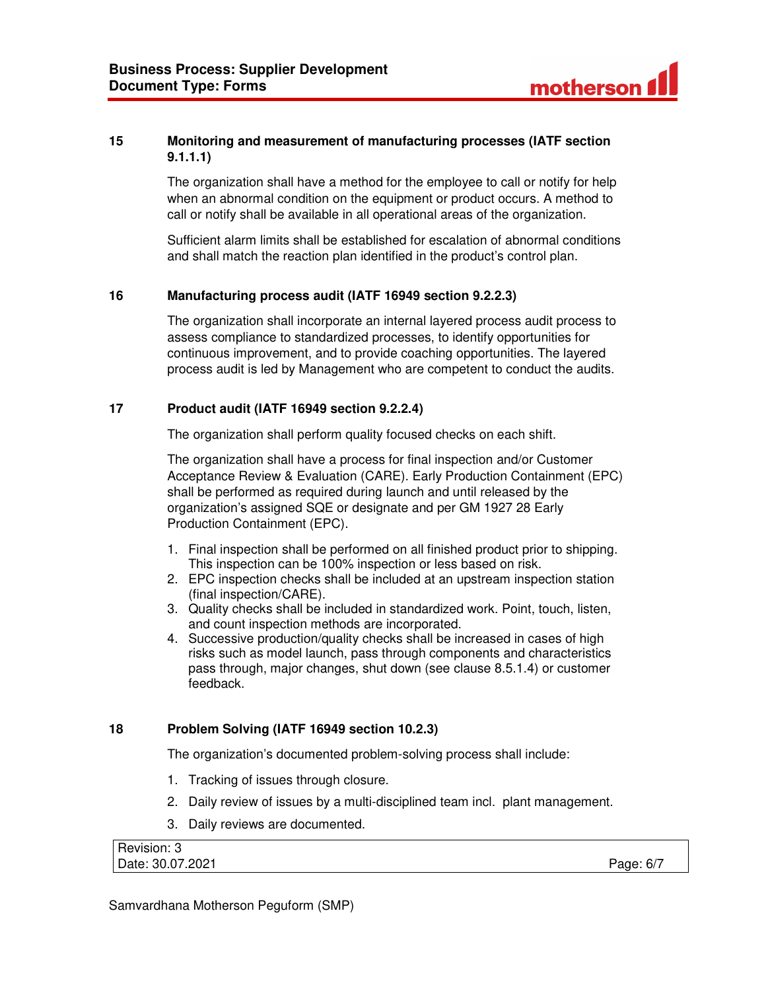

# **15 Monitoring and measurement of manufacturing processes (IATF section 9.1.1.1)**

The organization shall have a method for the employee to call or notify for help when an abnormal condition on the equipment or product occurs. A method to call or notify shall be available in all operational areas of the organization.

Sufficient alarm limits shall be established for escalation of abnormal conditions and shall match the reaction plan identified in the product's control plan.

#### **16 Manufacturing process audit (IATF 16949 section 9.2.2.3)**

The organization shall incorporate an internal layered process audit process to assess compliance to standardized processes, to identify opportunities for continuous improvement, and to provide coaching opportunities. The layered process audit is led by Management who are competent to conduct the audits.

#### **17 Product audit (IATF 16949 section 9.2.2.4)**

The organization shall perform quality focused checks on each shift.

The organization shall have a process for final inspection and/or Customer Acceptance Review & Evaluation (CARE). Early Production Containment (EPC) shall be performed as required during launch and until released by the organization's assigned SQE or designate and per GM 1927 28 Early Production Containment (EPC).

- 1. Final inspection shall be performed on all finished product prior to shipping. This inspection can be 100% inspection or less based on risk.
- 2. EPC inspection checks shall be included at an upstream inspection station (final inspection/CARE).
- 3. Quality checks shall be included in standardized work. Point, touch, listen, and count inspection methods are incorporated.
- 4. Successive production/quality checks shall be increased in cases of high risks such as model launch, pass through components and characteristics pass through, major changes, shut down (see clause 8.5.1.4) or customer feedback.

#### **18 Problem Solving (IATF 16949 section 10.2.3)**

The organization's documented problem-solving process shall include:

- 1. Tracking of issues through closure.
- 2. Daily review of issues by a multi-disciplined team incl. plant management.
- 3. Daily reviews are documented.

| Revision: 3      |           |
|------------------|-----------|
| Date: 30.07.2021 | Page: 6/7 |